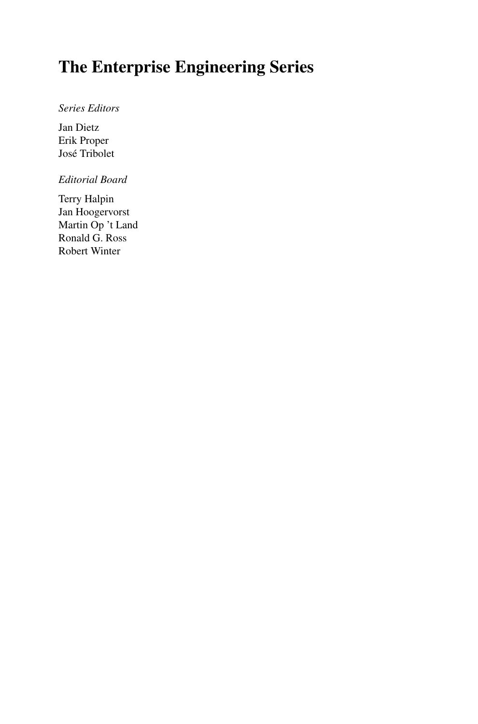## **The Enterprise Engineering Series**

*Series Editors*

Jan Dietz Erik Proper José Tribolet

#### *Editorial Board*

Terry Halpin Jan Hoogervorst Martin Op 't Land Ronald G. Ross Robert Winter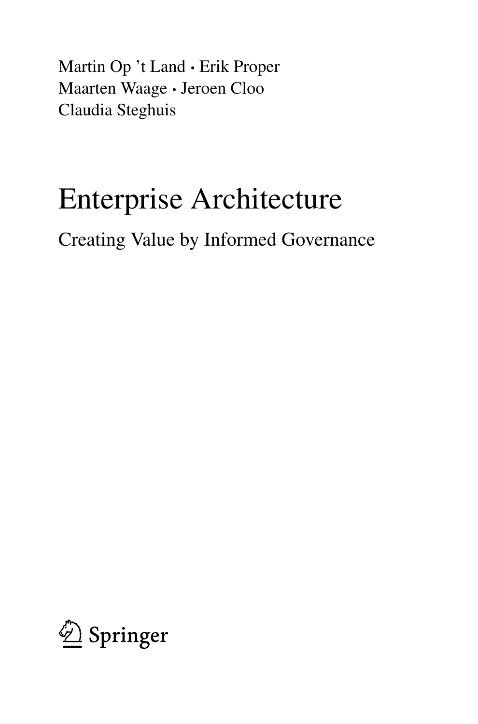Martin Op 't Land **·** Erik Proper Maarten Waage **·** Jeroen Cloo Claudia Steghuis

# Enterprise Architecture

Creating Value by Informed Governance

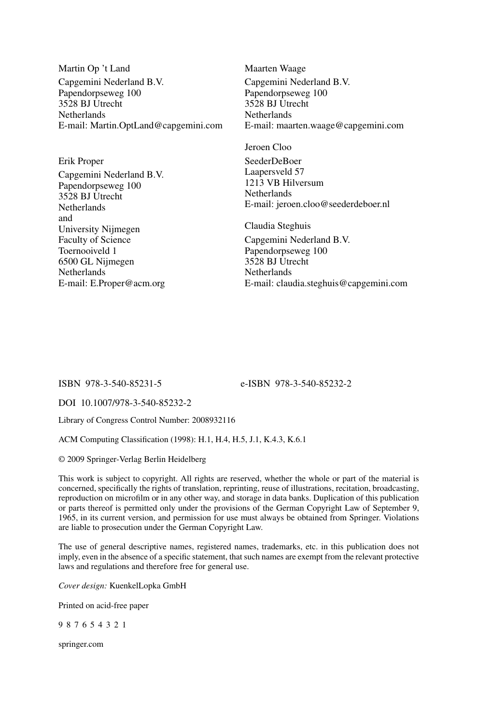| Maarten Waage                                                                                                                                                                                                                                                                    |
|----------------------------------------------------------------------------------------------------------------------------------------------------------------------------------------------------------------------------------------------------------------------------------|
| Capgemini Nederland B.V.<br>Papendorpseweg 100<br>3528 BJ Utrecht<br><b>Netherlands</b><br>E-mail: maarten.waage@capgemini.com                                                                                                                                                   |
| Jeroen Cloo                                                                                                                                                                                                                                                                      |
| <b>SeederDeBoer</b><br>Laapersveld 57<br>1213 VB Hilversum<br><b>Netherlands</b><br>E-mail: jeroen.cloo@seederdeboer.nl<br>Claudia Steghuis<br>Capgemini Nederland B.V.<br>Papendorpseweg 100<br>3528 BJ Utrecht<br><b>Netherlands</b><br>E-mail: claudia.steghuis@capgemini.com |
|                                                                                                                                                                                                                                                                                  |

ISBN 978-3-540-85231-5

e-ISBN 978-3-540-85232-2

DOI 10.1007/978-3-540-85232-2

Library of Congress Control Number: 2008932116

ACM Computing Classification (1998): H.1, H.4, H.5, J.1, K.4.3, K.6.1

© 2009 Springer-Verlag Berlin Heidelberg

This work is subject to copyright. All rights are reserved, whether the whole or part of the material is concerned, specifically the rights of translation, reprinting, reuse of illustrations, recitation, broadcasting, reproduction on microfilm or in any other way, and storage in data banks. Duplication of this publication or parts thereof is permitted only under the provisions of the German Copyright Law of September 9, 1965, in its current version, and permission for use must always be obtained from Springer. Violations are liable to prosecution under the German Copyright Law.

The use of general descriptive names, registered names, trademarks, etc. in this publication does not imply, even in the absence of a specific statement, that such names are exempt from the relevant protective laws and regulations and therefore free for general use.

*Cover design:* KuenkelLopka GmbH

Printed on acid-free paper

987654321

springer.com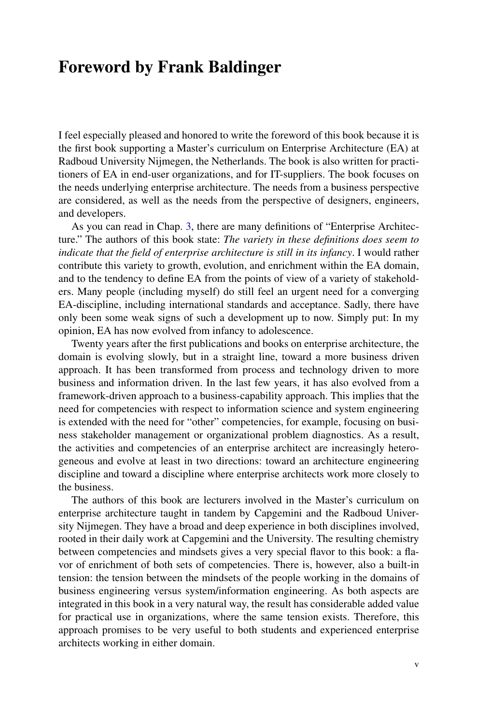#### **Foreword by Frank Baldinger**

I feel especially pleased and honored to write the foreword of this book because it is the first book supporting a Master's curriculum on Enterprise Architecture (EA) at Radboud University Nijmegen, the Netherlands. The book is also written for practitioners of EA in end-user organizations, and for IT-suppliers. The book focuses on the needs underlying enterprise architecture. The needs from a business perspective are considered, as well as the needs from the perspective of designers, engineers, and developers.

As you can read in Chap. 3, there are many definitions of "Enterprise Architecture." The authors of this book state: *The variety in these definitions does seem to indicate that the field of enterprise architecture is still in its infancy*. I would rather contribute this variety to growth, evolution, and enrichment within the EA domain, and to the tendency to define EA from the points of view of a variety of stakeholders. Many people (including myself) do still feel an urgent need for a converging EA-discipline, including international standards and acceptance. Sadly, there have only been some weak signs of such a development up to now. Simply put: In my opinion, EA has now evolved from infancy to adolescence.

Twenty years after the first publications and books on enterprise architecture, the domain is evolving slowly, but in a straight line, toward a more business driven approach. It has been transformed from process and technology driven to more business and information driven. In the last few years, it has also evolved from a framework-driven approach to a business-capability approach. This implies that the need for competencies with respect to information science and system engineering is extended with the need for "other" competencies, for example, focusing on business stakeholder management or organizational problem diagnostics. As a result, the activities and competencies of an enterprise architect are increasingly heterogeneous and evolve at least in two directions: toward an architecture engineering discipline and toward a discipline where enterprise architects work more closely to the business.

The authors of this book are lecturers involved in the Master's curriculum on enterprise architecture taught in tandem by Capgemini and the Radboud University Nijmegen. They have a broad and deep experience in both disciplines involved, rooted in their daily work at Capgemini and the University. The resulting chemistry between competencies and mindsets gives a very special flavor to this book: a flavor of enrichment of both sets of competencies. There is, however, also a built-in tension: the tension between the mindsets of the people working in the domains of business engineering versus system/information engineering. As both aspects are integrated in this book in a very natural way, the result has considerable added value for practical use in organizations, where the same tension exists. Therefore, this approach promises to be very useful to both students and experienced enterprise architects working in either domain.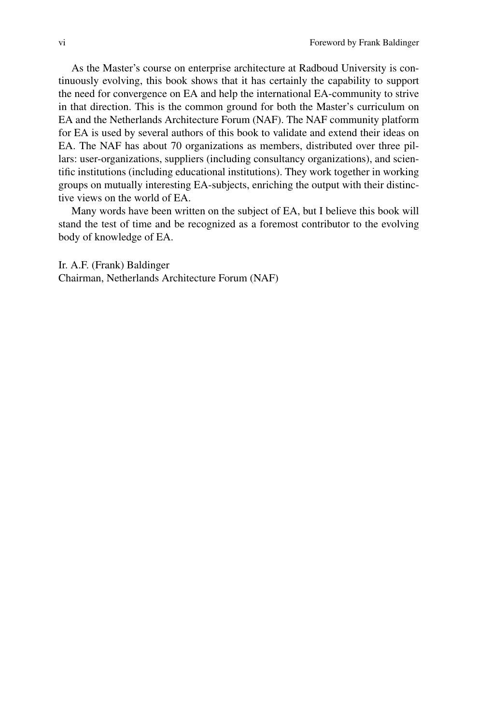As the Master's course on enterprise architecture at Radboud University is continuously evolving, this book shows that it has certainly the capability to support the need for convergence on EA and help the international EA-community to strive in that direction. This is the common ground for both the Master's curriculum on EA and the Netherlands Architecture Forum (NAF). The NAF community platform for EA is used by several authors of this book to validate and extend their ideas on EA. The NAF has about 70 organizations as members, distributed over three pillars: user-organizations, suppliers (including consultancy organizations), and scientific institutions (including educational institutions). They work together in working groups on mutually interesting EA-subjects, enriching the output with their distinctive views on the world of EA.

Many words have been written on the subject of EA, but I believe this book will stand the test of time and be recognized as a foremost contributor to the evolving body of knowledge of EA.

Ir. A.F. (Frank) Baldinger Chairman, Netherlands Architecture Forum (NAF)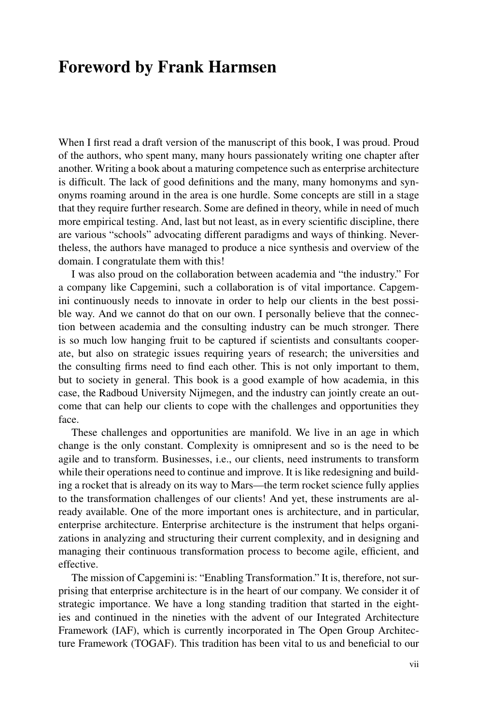#### **Foreword by Frank Harmsen**

When I first read a draft version of the manuscript of this book, I was proud. Proud of the authors, who spent many, many hours passionately writing one chapter after another. Writing a book about a maturing competence such as enterprise architecture is difficult. The lack of good definitions and the many, many homonyms and synonyms roaming around in the area is one hurdle. Some concepts are still in a stage that they require further research. Some are defined in theory, while in need of much more empirical testing. And, last but not least, as in every scientific discipline, there are various "schools" advocating different paradigms and ways of thinking. Nevertheless, the authors have managed to produce a nice synthesis and overview of the domain. I congratulate them with this!

I was also proud on the collaboration between academia and "the industry." For a company like Capgemini, such a collaboration is of vital importance. Capgemini continuously needs to innovate in order to help our clients in the best possible way. And we cannot do that on our own. I personally believe that the connection between academia and the consulting industry can be much stronger. There is so much low hanging fruit to be captured if scientists and consultants cooperate, but also on strategic issues requiring years of research; the universities and the consulting firms need to find each other. This is not only important to them, but to society in general. This book is a good example of how academia, in this case, the Radboud University Nijmegen, and the industry can jointly create an outcome that can help our clients to cope with the challenges and opportunities they face.

These challenges and opportunities are manifold. We live in an age in which change is the only constant. Complexity is omnipresent and so is the need to be agile and to transform. Businesses, i.e., our clients, need instruments to transform while their operations need to continue and improve. It is like redesigning and building a rocket that is already on its way to Mars—the term rocket science fully applies to the transformation challenges of our clients! And yet, these instruments are already available. One of the more important ones is architecture, and in particular, enterprise architecture. Enterprise architecture is the instrument that helps organizations in analyzing and structuring their current complexity, and in designing and managing their continuous transformation process to become agile, efficient, and effective.

The mission of Capgemini is: "Enabling Transformation." It is, therefore, not surprising that enterprise architecture is in the heart of our company. We consider it of strategic importance. We have a long standing tradition that started in the eighties and continued in the nineties with the advent of our Integrated Architecture Framework (IAF), which is currently incorporated in The Open Group Architecture Framework (TOGAF). This tradition has been vital to us and beneficial to our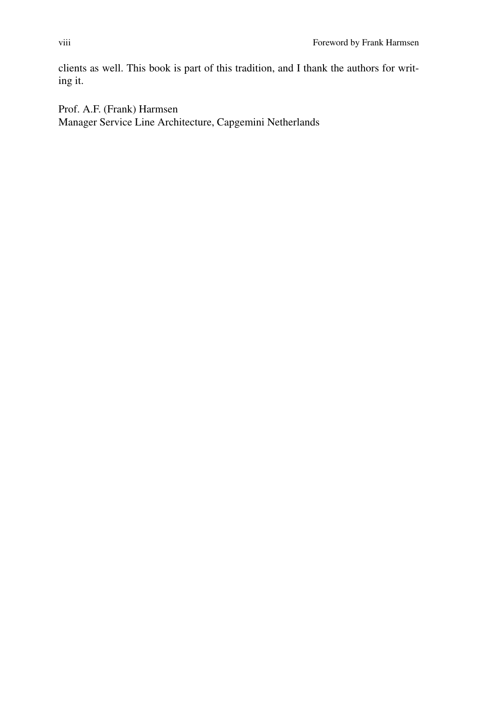clients as well. This book is part of this tradition, and I thank the authors for writing it.

Prof. A.F. (Frank) Harmsen Manager Service Line Architecture, Capgemini Netherlands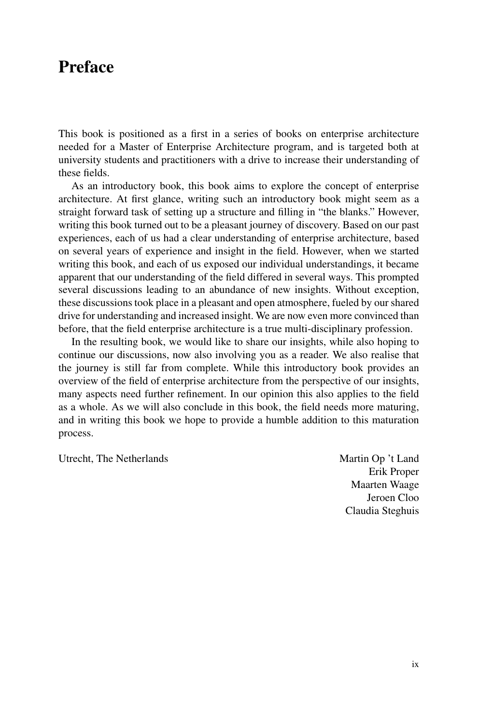### **Preface**

This book is positioned as a first in a series of books on enterprise architecture needed for a Master of Enterprise Architecture program, and is targeted both at university students and practitioners with a drive to increase their understanding of these fields.

As an introductory book, this book aims to explore the concept of enterprise architecture. At first glance, writing such an introductory book might seem as a straight forward task of setting up a structure and filling in "the blanks." However, writing this book turned out to be a pleasant journey of discovery. Based on our past experiences, each of us had a clear understanding of enterprise architecture, based on several years of experience and insight in the field. However, when we started writing this book, and each of us exposed our individual understandings, it became apparent that our understanding of the field differed in several ways. This prompted several discussions leading to an abundance of new insights. Without exception, these discussions took place in a pleasant and open atmosphere, fueled by our shared drive for understanding and increased insight. We are now even more convinced than before, that the field enterprise architecture is a true multi-disciplinary profession.

In the resulting book, we would like to share our insights, while also hoping to continue our discussions, now also involving you as a reader. We also realise that the journey is still far from complete. While this introductory book provides an overview of the field of enterprise architecture from the perspective of our insights, many aspects need further refinement. In our opinion this also applies to the field as a whole. As we will also conclude in this book, the field needs more maturing, and in writing this book we hope to provide a humble addition to this maturation process.

Utrecht, The Netherlands Martin Op 't Land

Erik Proper Maarten Waage Jeroen Cloo Claudia Steghuis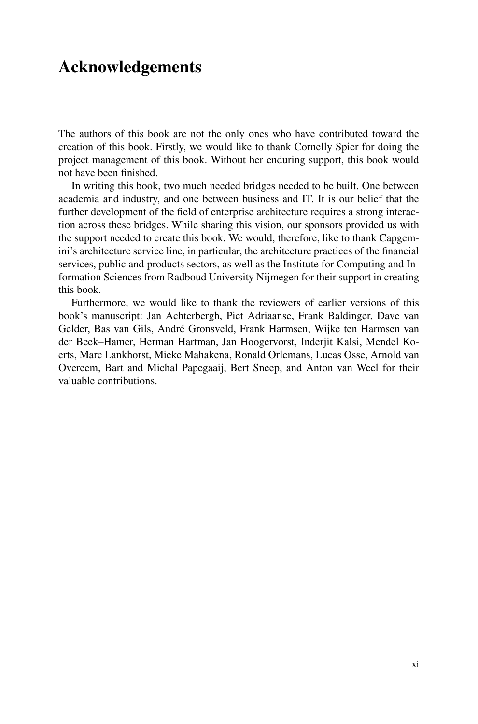#### **Acknowledgements**

The authors of this book are not the only ones who have contributed toward the creation of this book. Firstly, we would like to thank Cornelly Spier for doing the project management of this book. Without her enduring support, this book would not have been finished.

In writing this book, two much needed bridges needed to be built. One between academia and industry, and one between business and IT. It is our belief that the further development of the field of enterprise architecture requires a strong interaction across these bridges. While sharing this vision, our sponsors provided us with the support needed to create this book. We would, therefore, like to thank Capgemini's architecture service line, in particular, the architecture practices of the financial services, public and products sectors, as well as the Institute for Computing and Information Sciences from Radboud University Nijmegen for their support in creating this book.

Furthermore, we would like to thank the reviewers of earlier versions of this book's manuscript: Jan Achterbergh, Piet Adriaanse, Frank Baldinger, Dave van Gelder, Bas van Gils, André Gronsveld, Frank Harmsen, Wijke ten Harmsen van der Beek–Hamer, Herman Hartman, Jan Hoogervorst, Inderjit Kalsi, Mendel Koerts, Marc Lankhorst, Mieke Mahakena, Ronald Orlemans, Lucas Osse, Arnold van Overeem, Bart and Michal Papegaaij, Bert Sneep, and Anton van Weel for their valuable contributions.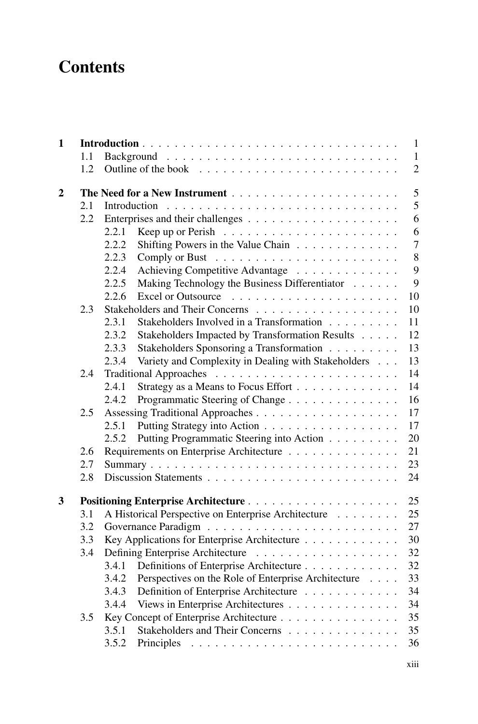## **Contents**

| 1 |     |              |                                                           | 1              |
|---|-----|--------------|-----------------------------------------------------------|----------------|
|   | 1.1 |              |                                                           | $\mathbf{1}$   |
|   | 1.2 |              |                                                           | $\overline{2}$ |
| 2 |     |              |                                                           | 5              |
|   | 2.1 | Introduction |                                                           | 5              |
|   | 2.2 |              |                                                           | 6              |
|   |     | 2.2.1        |                                                           | 6              |
|   |     | 2.2.2        | Shifting Powers in the Value Chain                        | $\overline{7}$ |
|   |     | 2.2.3        |                                                           | 8              |
|   |     | 2.2.4        | Achieving Competitive Advantage                           | 9              |
|   |     | 2.2.5        | Making Technology the Business Differentiator             | 9              |
|   |     | 2.2.6        | 10                                                        |                |
|   | 2.3 |              | 10                                                        |                |
|   |     | 2.3.1        | Stakeholders Involved in a Transformation<br>11           |                |
|   |     | 2.3.2        | 12<br>Stakeholders Impacted by Transformation Results     |                |
|   |     | 2.3.3        | 13<br>Stakeholders Sponsoring a Transformation            |                |
|   |     | 2.3.4        | 13<br>Variety and Complexity in Dealing with Stakeholders |                |
|   | 2.4 |              | 14                                                        |                |
|   |     | 2.4.1        | 14<br>Strategy as a Means to Focus Effort                 |                |
|   |     | 2.4.2        | Programmatic Steering of Change<br>16                     |                |
|   | 2.5 |              | 17                                                        |                |
|   |     | 2.5.1        | 17<br>Putting Strategy into Action                        |                |
|   |     | 2.5.2        | Putting Programmatic Steering into Action<br>20           |                |
|   | 2.6 |              | Requirements on Enterprise Architecture<br>21             |                |
|   | 2.7 |              | 23                                                        |                |
|   | 2.8 |              | 24                                                        |                |
| 3 |     |              | 25                                                        |                |
|   | 3.1 |              | A Historical Perspective on Enterprise Architecture<br>25 |                |
|   | 3.2 |              | 27                                                        |                |
|   | 3.3 |              | Key Applications for Enterprise Architecture<br>30        |                |
|   | 3.4 |              | 32                                                        |                |
|   |     | 3.4.1        | 32<br>Definitions of Enterprise Architecture              |                |
|   |     | 3.4.2        | 33<br>Perspectives on the Role of Enterprise Architecture |                |
|   |     | 3.4.3        | 34<br>Definition of Enterprise Architecture               |                |
|   |     | 3.4.4        | 34<br>Views in Enterprise Architectures                   |                |
|   | 3.5 |              | Key Concept of Enterprise Architecture<br>35              |                |
|   |     | 3.5.1        | Stakeholders and Their Concerns<br>35                     |                |
|   |     | 3.5.2        | 36<br>Principles                                          |                |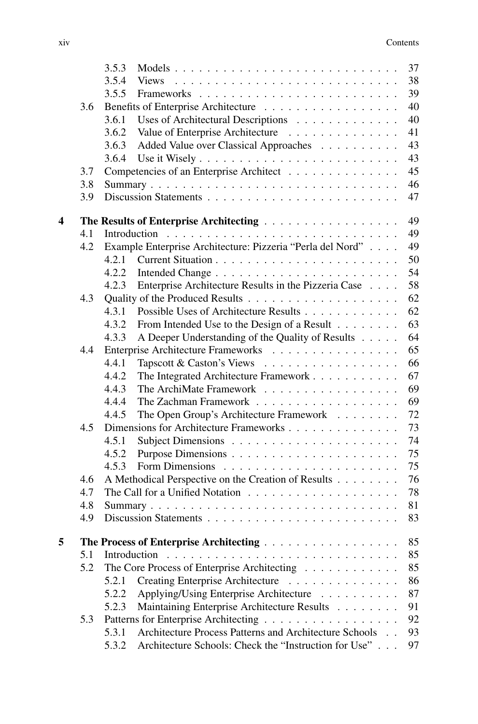|   |     | 3.5.3                                                           | 37 |
|---|-----|-----------------------------------------------------------------|----|
|   |     | 3.5.4<br>Views                                                  | 38 |
|   |     | 3.5.5                                                           | 39 |
|   | 3.6 | Benefits of Enterprise Architecture                             | 40 |
|   |     | Uses of Architectural Descriptions<br>3.6.1                     | 40 |
|   |     | Value of Enterprise Architecture<br>3.6.2                       | 41 |
|   |     | Added Value over Classical Approaches<br>3.6.3                  | 43 |
|   |     | 3.6.4                                                           | 43 |
|   | 3.7 | Competencies of an Enterprise Architect                         | 45 |
|   | 3.8 |                                                                 | 46 |
|   | 3.9 |                                                                 | 47 |
| 4 |     | The Results of Enterprise Architecting                          | 49 |
|   | 4.1 |                                                                 | 49 |
|   | 4.2 | Example Enterprise Architecture: Pizzeria "Perla del Nord"      | 49 |
|   |     | 4.2.1                                                           | 50 |
|   |     | 4.2.2                                                           | 54 |
|   |     | Enterprise Architecture Results in the Pizzeria Case<br>4.2.3   | 58 |
|   | 4.3 |                                                                 | 62 |
|   |     | 4.3.1<br>Possible Uses of Architecture Results                  | 62 |
|   |     | 4.3.2<br>From Intended Use to the Design of a Result            | 63 |
|   |     | A Deeper Understanding of the Quality of Results<br>4.3.3       | 64 |
|   | 4.4 | Enterprise Architecture Frameworks                              | 65 |
|   |     | Tapscott & Caston's Views<br>4.4.1                              | 66 |
|   |     | The Integrated Architecture Framework<br>4.4.2                  | 67 |
|   |     | 4.4.3<br>The ArchiMate Framework                                | 69 |
|   |     | 4.4.4                                                           | 69 |
|   |     | The Open Group's Architecture Framework<br>4.4.5                | 72 |
|   | 4.5 | Dimensions for Architecture Frameworks                          | 73 |
|   |     | 4.5.1                                                           | 74 |
|   |     | 4.5.2                                                           | 75 |
|   |     | 4.5.3                                                           | 75 |
|   | 4.6 | A Methodical Perspective on the Creation of Results             | 76 |
|   | 4.7 |                                                                 | 78 |
|   | 4.8 |                                                                 | 81 |
|   | 4.9 |                                                                 | 83 |
| 5 |     | The Process of Enterprise Architecting                          | 85 |
|   | 5.1 |                                                                 | 85 |
|   | 5.2 | The Core Process of Enterprise Architecting                     | 85 |
|   |     | 5.2.1<br>Creating Enterprise Architecture                       | 86 |
|   |     | Applying/Using Enterprise Architecture<br>5.2.2                 | 87 |
|   |     | Maintaining Enterprise Architecture Results<br>5.2.3            | 91 |
|   | 5.3 | Patterns for Enterprise Architecting                            | 92 |
|   |     | 5.3.1<br>Architecture Process Patterns and Architecture Schools | 93 |
|   |     | 5.3.2<br>Architecture Schools: Check the "Instruction for Use"  | 97 |